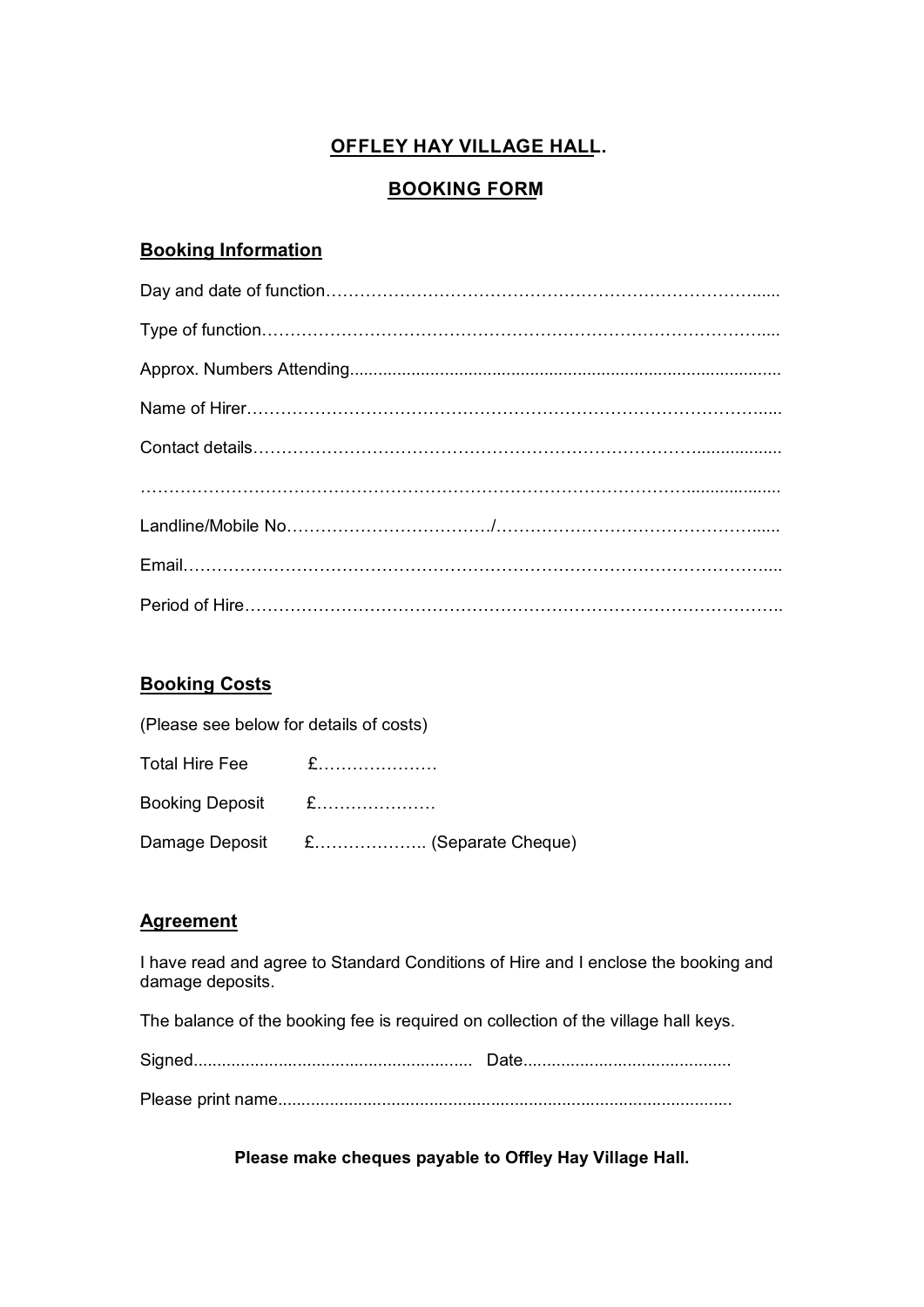# **OFFLEY HAY VILLAGE HALL.**

## **BOOKING FORM**

### **Booking Information**

### **Booking Costs**

| (Please see below for details of costs) |                                    |
|-----------------------------------------|------------------------------------|
|                                         |                                    |
| Booking Deposit £                       |                                    |
|                                         | Damage Deposit £ (Separate Cheque) |

## **Agreement**

I have read and agree to Standard Conditions of Hire and I enclose the booking and damage deposits.

The balance of the booking fee is required on collection of the village hall keys.

Please print name................................................................................................

**Please make cheques payable to Offley Hay Village Hall.**